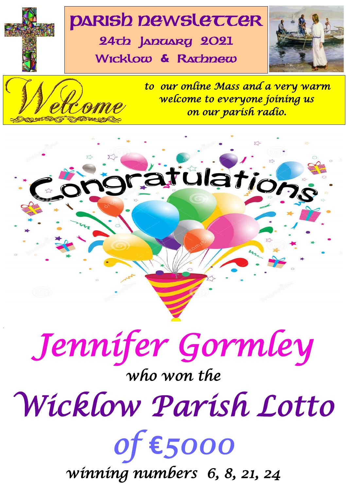# **PARISh newSLETTER**

24th January 2021 Wicklow **&** Rathnew





*to our online Mass and a very warm welcome to everyone joining us on our parish radio.*





# *who won the*

*Wicklow Parish Lotto* 

1 *of* **€***5000* 

*winning numbers 6, 8, 21, 24*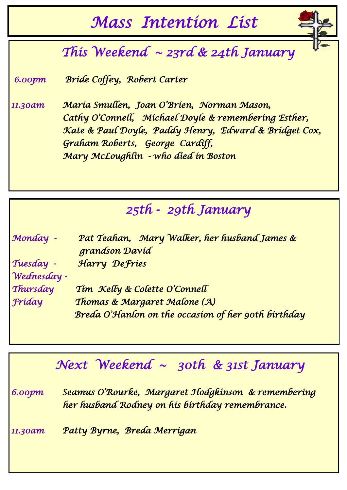## *Mass Intention List*

## *This Weekend ~ 23rd & 24th January*

 *6.00pm Bride Coffey, Robert Carter* 

*11.30am Maria Smullen, Joan O'Brien, Norman Mason, Cathy O'Connell, Michael Doyle & remembering Esther, Kate & Paul Doyle, Paddy Henry, Edward & Bridget Cox, Graham Roberts, George Cardiff, Mary McLoughlin - who died in Boston* 

## *25th - 29th January*

| Monday -    | Pat Teahan, Mary Walker, her husband James &<br>grandson Davíd |  |
|-------------|----------------------------------------------------------------|--|
|             |                                                                |  |
| Tuesday -   | Harry Defries                                                  |  |
| Wednesday - |                                                                |  |
| Thursday    | Tim Kelly & Colette O'Connell                                  |  |
| Fríday      | Thomas & Margaret Malone (A)                                   |  |
|             | Breda O'Hanlon on the occasion of her 90th birthday            |  |

## *Next Weekend ~ 30th & 31st January*

*6.00pm Seamus O'Rourke, Margaret Hodgkinson & remembering her husband Rodney on his birthday remembrance.* 

*11.30am Patty Byrne, Breda Merrigan*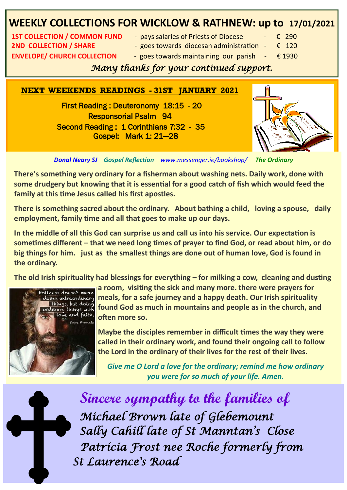## **WEEKLY COLLECTIONS FOR WICKLOW & RATHNEW: up to 17/01/2021**

**2ND COLLECTION / SHARE**  $\qquad -$  goes towards diocesan administration  $\qquad \in 120$ **ENVELOPE/ CHURCH COLLECTION** - goes towards maintaining our parish  $-\epsilon$  1930

- **1ST COLLECTION / COMMON FUND pays salaries of Priests of Diocese € 290** 
	-
	-
	-

#### *Many thanks for your continued support.*

#### **NEXT WEEKENDS READINGS - 31ST JANUARY 2021**

 First Reading : Deuteronomy 18:15 - 20 Responsorial Psalm 94 Second Reading : 1 Corinthians 7:32 - 35 Gospel: Mark 1: 21—28



*Donal Neary SJ Gospel Reflection [www.messenger.ie/bookshop/](http://www.messenger.ie/bookshop/) The Ordinary*

**There's something very ordinary for a fisherman about washing nets. Daily work, done with some drudgery but knowing that it is essential for a good catch of fish which would feed the family at this time Jesus called his first apostles.**

**There is something sacred about the ordinary. About bathing a child, loving a spouse, daily employment, family time and all that goes to make up our days.**

**In the middle of all this God can surprise us and call us into his service. Our expectation is sometimes different – that we need long times of prayer to find God, or read about him, or do big things for him. just as the smallest things are done out of human love, God is found in the ordinary.**

**The old Irish spirituality had blessings for everything – for milking a cow, cleaning and dusting** 



**a room, visiting the sick and many more. there were prayers for meals, for a safe journey and a happy death. Our Irish spirituality found God as much in mountains and people as in the church, and often more so.**

**Maybe the disciples remember in difficult times the way they were called in their ordinary work, and found their ongoing call to follow the Lord in the ordinary of their lives for the rest of their lives.**

*Give me O Lord a love for the ordinary; remind me how ordinary you were for so much of your life. Amen.*



3 *St Laurence's Road*  **Sincere sympathy to the families of** *Michael Brown late of Glebemount Sally Cahill late of St Manntan's Close Patricia Frost nee Roche formerly from*